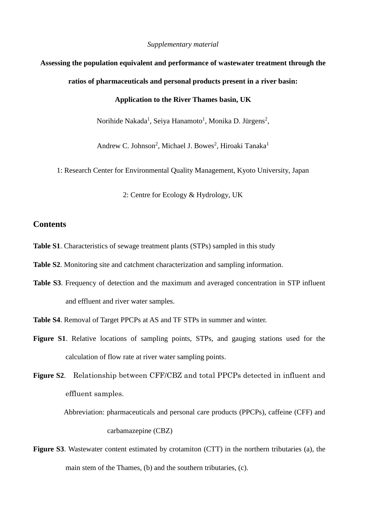*Supplementary material*

# **Assessing the population equivalent and performance of wastewater treatment through the**

#### **ratios of pharmaceuticals and personal products present in a river basin:**

# **Application to the River Thames basin, UK**

Norihide Nakada<sup>1</sup>, Seiya Hanamoto<sup>1</sup>, Monika D. Jürgens<sup>2</sup>,

Andrew C. Johnson<sup>2</sup>, Michael J. Bowes<sup>2</sup>, Hiroaki Tanaka<sup>1</sup>

1: Research Center for Environmental Quality Management, Kyoto University, Japan

2: Centre for Ecology & Hydrology, UK

### **Contents**

- **Table S1**. Characteristics of sewage treatment plants (STPs) sampled in this study
- **Table S2**. Monitoring site and catchment characterization and sampling information.
- **Table S3**. Frequency of detection and the maximum and averaged concentration in STP influent and effluent and river water samples.

**Table S4**. Removal of Target PPCPs at AS and TF STPs in summer and winter.

- **Figure S1**. Relative locations of sampling points, STPs, and gauging stations used for the calculation of flow rate at river water sampling points.
- **Figure S2**. Relationship between CFF/CBZ and total PPCPs detected in influent and effluent samples.

Abbreviation: pharmaceuticals and personal care products (PPCPs), caffeine (CFF) and carbamazepine (CBZ)

**Figure S3**. Wastewater content estimated by crotamiton (CTT) in the northern tributaries (a), the main stem of the Thames, (b) and the southern tributaries, (c).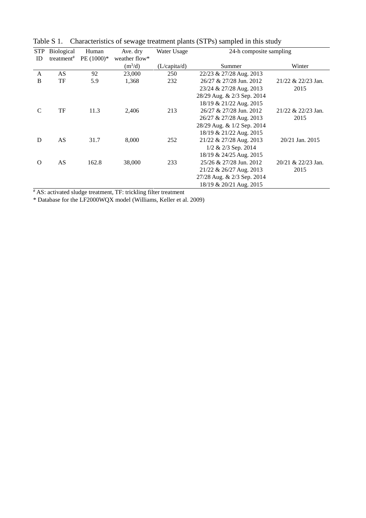| <b>STP</b>    | <b>Biological</b>      | Human       | Ave. dry      | Water Usage  | 24-h composite sampling    |                       |  |  |  |  |
|---------------|------------------------|-------------|---------------|--------------|----------------------------|-----------------------|--|--|--|--|
| ID            | treatment <sup>#</sup> | $PE(1000)*$ | weather flow* |              |                            |                       |  |  |  |  |
|               |                        |             | $(m^3/d)$     | (L/capita/d) | Summer                     | Winter                |  |  |  |  |
| $\mathsf{A}$  | AS                     | 92          | 23,000        | 250          | 22/23 & 27/28 Aug. 2013    |                       |  |  |  |  |
| B             | TF                     | 5.9         | 1,368         | 232          | 26/27 & 27/28 Jun. 2012    | $21/22 \& 22/23$ Jan. |  |  |  |  |
|               |                        |             |               |              | 23/24 & 27/28 Aug. 2013    | 2015                  |  |  |  |  |
|               |                        |             |               |              | 28/29 Aug. & 2/3 Sep. 2014 |                       |  |  |  |  |
|               |                        |             |               |              | 18/19 & 21/22 Aug. 2015    |                       |  |  |  |  |
| $\mathcal{C}$ | TF                     | 11.3        | 2.406         | 213          | 26/27 & 27/28 Jun. 2012    | 21/22 & 22/23 Jan.    |  |  |  |  |
|               |                        |             |               |              | 26/27 & 27/28 Aug. 2013    | 2015                  |  |  |  |  |
|               |                        |             |               |              | 28/29 Aug. & 1/2 Sep. 2014 |                       |  |  |  |  |
|               |                        |             |               |              | 18/19 & 21/22 Aug. 2015    |                       |  |  |  |  |
| D             | AS                     | 31.7        | 8,000         | 252          | 21/22 & 27/28 Aug. 2013    | 20/21 Jan. 2015       |  |  |  |  |
|               |                        |             |               |              | $1/2$ & $2/3$ Sep. 2014    |                       |  |  |  |  |
|               |                        |             |               |              | 18/19 & 24/25 Aug. 2015    |                       |  |  |  |  |
| $\Omega$      | AS                     | 162.8       | 38,000        | 233          | 25/26 & 27/28 Jun. 2012    | 20/21 & 22/23 Jan.    |  |  |  |  |
|               |                        |             |               |              | 21/22 & 26/27 Aug. 2013    | 2015                  |  |  |  |  |
|               |                        |             |               |              | 27/28 Aug. & 2/3 Sep. 2014 |                       |  |  |  |  |
|               |                        |             |               |              | 18/19 & 20/21 Aug. 2015    |                       |  |  |  |  |

Table S 1. Characteristics of sewage treatment plants (STPs) sampled in this study

# AS: activated sludge treatment, TF: trickling filter treatment

\* Database for the LF2000WQX model (Williams, Keller et al. 2009)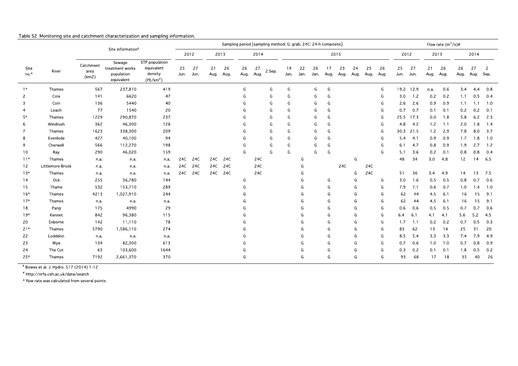|              |                  |                               |                                                       |                                                                  |              | Sampling period [sampling method: G: grab, 24C: 24-h composite] |            |           |            |            |        |            |            |            |            | Flow rate $(m^3/s)\#$ |            |            |            |            |            |            |            |            |            |                      |
|--------------|------------------|-------------------------------|-------------------------------------------------------|------------------------------------------------------------------|--------------|-----------------------------------------------------------------|------------|-----------|------------|------------|--------|------------|------------|------------|------------|-----------------------|------------|------------|------------|------------|------------|------------|------------|------------|------------|----------------------|
|              |                  | Site information <sup>§</sup> |                                                       |                                                                  | 2012<br>2013 |                                                                 |            |           | 2014       |            | 2015   |            |            |            |            |                       | 2012       |            | 2013       |            |            | 2014       |            |            |            |                      |
| Site<br>no.* | River            | Catchment<br>area<br>(km2)    | Sewage<br>treatment works<br>population<br>equivalent | STP population<br>equivalent<br>density<br>(PE/km <sup>2</sup> ) | 25<br>Jun.   | 27<br>Jun.                                                      | 21<br>Aug. | 26<br>Aug | 26<br>Aug. | 27<br>Aug. | 2 Sep. | 19<br>Jan. | 22<br>Jan. | 26<br>Jan. | 17<br>Aug. | 23<br>Aug.            | 24<br>Aug. | 25<br>Aug. | 26<br>Aug. | 25<br>Jun. | 27<br>Jun. | 21<br>Aug. | 26<br>Aug. | 26<br>Aug. | 27<br>Aug. | $\mathbf{2}$<br>Sep. |
| $1*$         | Thames           | 567                           | 237,810                                               | 419                                                              |              |                                                                 |            |           | G          |            | G      | G          |            | G          | G          |                       |            |            | G          | 19.2       | 12.9       | n.a.       | 0.6        | 3.4        | 44         | 0.8                  |
| 2            | Cole             | 141                           | 6620                                                  | 47                                                               |              |                                                                 |            |           | G          |            | G      | G          |            | G          | G          |                       |            |            | G          | 3.0        | 1.2        | 0.2        | 0.2        | 1.1        | 0.5        | 0.4                  |
| 3            | Coln             | 136                           | 5440                                                  | 40                                                               |              |                                                                 |            |           | G          |            | G      | G          |            | G          | G          |                       |            |            | G          | 2.6        | 2.6        | 0.9        | 0.9        | 1.1        | 1.1        | 1.0                  |
| 4            | Leach            | 77                            | 1540                                                  | 20                                                               |              |                                                                 |            |           | G          |            | G      | G          |            | G          | G          |                       |            |            | G          | 0.7        | 0.7        | 0.1        | 0.1        | 0.2        | 0.2        | 0.1                  |
| $5*$         | Thames           | 1229                          | 290,870                                               | 237                                                              |              |                                                                 |            |           | G          |            | G      | G          |            | G          | G          |                       |            |            | G          | 25.5       | 17.3       | 0.0        | 1.8        | 5.8        | 6.2        | 2.3                  |
| 6            | Windrush         | 362                           | 46,300                                                | 128                                                              |              |                                                                 |            |           | G          |            | G      | G          |            | G          | G          |                       |            |            | G          | 4.8        | 4.2        | 1.2        | 1.1        | 2.0        | 1.8        | 1.4                  |
| 7            | Thames           | 1623                          | 338,300                                               | 209                                                              |              |                                                                 |            |           | G          |            | G      | G          |            | G          | G          |                       |            |            | G          | 30.3       | 21.5       | 1.2        | 2.9        | 7.8        | 8.0        | 3.7                  |
| 8            | Evenlode         | 427                           | 40,100                                                | 94                                                               |              |                                                                 |            |           | G          |            | G      | G          |            | G          | G          |                       |            |            | G          | 54         | 4.1        | 0.9        | 0.9        | 1.7        | 1.8        | 1.0                  |
| 9            | Cherwell         | 566                           | 112,270                                               | 198                                                              |              |                                                                 |            |           | G          |            | G      | G          |            | G          | G          |                       |            |            | G          | 6.1        | 4.7        | 0.8        | 0.9        | 1.9        | 2.7        | 1.2                  |
| 10           | Ray              | 290                           | 46,020                                                | 159                                                              |              |                                                                 |            |           | G          |            | G      | G          |            | G          | G          |                       |            |            | G          | 5.1        | 3.6        | 0.2        | 0.1        | 0.8        | 0.8        | 0.4                  |
| $11*$        | Thames           | n a                           | n a                                                   | n a                                                              | 24C          | 24C                                                             | 24C        | 24C       |            | 24C        |        |            | G          |            |            |                       | G          |            |            | 48         | 34         | 3.0        | 4.8        | 12         | 14         | 6.5                  |
| 12           | Littlemore Brook | n a                           | n a                                                   | n a                                                              | 24C          | 24C                                                             | 24C        | 24C       |            | 24C        |        |            | G          |            |            | 24C                   |            | 24C        |            |            |            |            |            |            |            |                      |
| $13*$        | Thames           | n.a.                          | n a                                                   | n a                                                              | 24C          | 24C                                                             | 24C        | 24C       |            | 24C        |        |            | G          |            |            |                       | G          | 24C        |            | 51         | 36         | 3.4        | 4.9        | 14         | 13         | 7.5                  |
| 14           | Ock              | 255                           | 36,780                                                | 144                                                              |              |                                                                 |            |           | G          |            |        |            | G          |            | G          |                       | G          |            | G          | 3.0        | 1.6        | 0.5        | 0.5        | 0.8        | 0.7        | 0.6                  |
| 15           | Thame            | 532                           | 153,710                                               | 289                                                              |              |                                                                 |            |           | G          |            |        |            | G          |            | G          |                       | G          |            | G          | 7.9        | 7.1        | 0.6        | 0.7        | 1.0        | 1.4        | 1.0                  |
| $16*$        | Thames           | 4213                          | 1,027,910                                             | 244                                                              |              |                                                                 |            |           |            |            |        |            | G          |            | G          |                       | G          |            | G          | 62         | 44         | 4.5        | 6.1        | 16         | 15         | 9.1                  |
| $17*$        | Thames           | n.a.                          | n.a.                                                  | n.a.                                                             |              |                                                                 |            |           | G          |            |        |            | G          |            | G          |                       | G          |            | G          | 62         | 44         | 4.5        | 6.1        | 16         | 15         | 9.1                  |
| 18           | Pang             | 175                           | 4990                                                  | 29                                                               |              |                                                                 |            |           |            |            |        |            | G          |            | G          |                       | G          |            | G          | 0.6        | 0.6        | 0.5        | 0.5        | 0.7        | 0.7        | 0.6                  |
| $19*$        | Kennet           | 842                           | 96,380                                                | 115                                                              |              |                                                                 |            |           | G          |            |        |            | G          |            | G          |                       | G          |            | G          | 6.4        | 6.1        | 4.1        | 4.1        | 5.6        | 5.2        | 4.5                  |
| 20           | Enborne          | 142                           | 11,110                                                | 78                                                               |              |                                                                 |            |           | G          |            |        |            | G          |            | G          |                       | G          |            | G          | 1.7        | 1.1        | 0.2        | 0.2        | 0.7        | 0.5        | 0.3                  |
| $21*$        | Thames           | 5790                          | 1,586,110                                             | 274                                                              |              |                                                                 |            |           | G          |            |        |            | G          |            | G          |                       | G          |            | G          | 83         | 62         | 13         | 14         | 25         | 31         | 20                   |
| 22           | Lodddon          | n a.                          | n a                                                   | n.a.                                                             |              |                                                                 |            |           |            |            |        |            | G          |            | G          |                       | G          |            | G          | 8.5        | 5.4        | 3.3        | 3.3        | 7.4        | 7.9        | 4.9                  |
| 23           | Wye              | 134                           | 82,300                                                | 613                                                              |              |                                                                 |            |           |            |            |        |            | G          |            | G          |                       | G          |            | G          | 0.7        | 0.6        | 1.0        | 1.0        | 0.7        | 0.8        | 0.9                  |
| 24           | The Cut          | 63                            | 103,600                                               | 1644                                                             |              |                                                                 |            |           | G          |            |        |            | G          |            | G          |                       | G          |            | G          | 0.3        | 0.2        | 0.1        | 0.1        | 1.8        | 0.5        | 0.2                  |
| $25*$        | Thames           | 7192                          | 2,661,370                                             | 370                                                              |              |                                                                 |            |           | G          |            |        |            | G          |            | G          |                       | G          |            | G          | 93         | 68         | 17         | 18         | 35         | 40         | 26                   |

Table S2 Monitoring site and catchment characterization and sampling information.

<sup>§</sup> Bowes et al. J. Hydro. 517 (2014) 1-12

# http://nrfa.ceh.ac.uk/data/search

\* flow rate was calculated from several points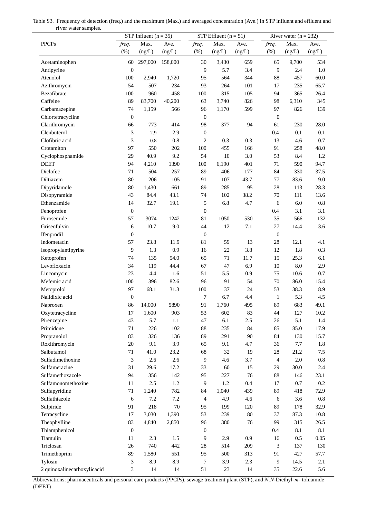| Table S3. Frequency of detection (freq.) and the maximum (Max.) and averaged concentration (Ave.) in STP influent and effluent and |
|------------------------------------------------------------------------------------------------------------------------------------|
| river water samples.                                                                                                               |

|                             |                             | STP Influent $(n = 35)$ |         |                  | STP Effluent $(n = 51)$ |         | River water $(n = 232)$ |         |           |  |  |
|-----------------------------|-----------------------------|-------------------------|---------|------------------|-------------------------|---------|-------------------------|---------|-----------|--|--|
| <b>PPCPs</b>                | freq.                       | Max.                    | Ave.    | freq.            | Max.                    | Ave.    | freq.                   | Max.    | Ave.      |  |  |
|                             | (%)                         | (ng/L)                  | (ng/L)  | (% )             | (ng/L)                  | (ng/L)  | (%)                     | (ng/L)  | (ng/L)    |  |  |
| Acetaminophen               | 60                          | 297,000                 | 158,000 | 30               | 3,430                   | 659     | 65                      | 9,700   | 534       |  |  |
| Antipyrine                  | $\boldsymbol{0}$            |                         |         | 9                | 5.7                     | 3.4     | 9                       | 2.4     | 1.0       |  |  |
| Atenolol                    | 100                         | 2,940                   | 1,720   | 95               | 564                     | 344     | 88                      | 457     | 60.0      |  |  |
| Azithromycin                | 54                          | 507                     | 234     | 93               | 264                     | 101     | 17                      | 235     | 65.7      |  |  |
| Bezafibrate                 | 100                         | 960                     | 458     | 100              | 315                     | 105     | 94                      | 365     | 26.4      |  |  |
|                             | 89                          |                         |         |                  |                         |         |                         |         |           |  |  |
| Caffeine                    |                             | 83,700                  | 40,200  | 63               | 3,740                   | 826     | 98                      | 6,310   | 345       |  |  |
| Carbamazepine               | 74                          | 1,159                   | 566     | 96               | 1,170                   | 599     | 97                      | 826     | 139       |  |  |
| Chlortetracycline           | $\boldsymbol{0}$            |                         |         | $\boldsymbol{0}$ |                         |         | $\boldsymbol{0}$        |         |           |  |  |
| Clarithromycin              | 66                          | 773                     | 414     | 98               | 377                     | 94      | 61                      | 230     | 28.0      |  |  |
| Clenbuterol                 | 3                           | 2.9                     | 2.9     | $\boldsymbol{0}$ |                         |         | 0.4                     | 0.1     | 0.1       |  |  |
| Clofibric acid              | 3                           | 0.8                     | 0.8     | $\mathbf{2}$     | 0.3                     | 0.3     | 13                      | 4.6     | $0.7\,$   |  |  |
| Crotamiton                  | 97                          | 550                     | 202     | 100              | 455                     | 166     | 91                      | 258     | 48.0      |  |  |
| Cyclophosphamide            | 29                          | 40.9                    | 9.2     | 54               | $10\,$                  | 3.0     | 53                      | 8.4     | 1.2       |  |  |
| <b>DEET</b>                 | 94                          | 4,210                   | 1390    | 100              | 6,190                   | 401     | 71                      | 590     | 94.7      |  |  |
| Diclofec                    | 71                          | 504                     | 257     | 89               | 406                     | 177     | 84                      | 330     | 37.5      |  |  |
| Diltiazem                   | 80                          | 206                     | 105     | 91               | 107                     | 43.7    | 77                      | 83.6    | 9.0       |  |  |
| Dipyridamole                | 80                          | 1,430                   | 661     | 89               | 285                     | 95      | 28                      | 113     | 28.3      |  |  |
| Disopyramide                | 43                          | 84.4                    | 43.1    | 74               | 102                     | 38.2    | 70                      | 111     | 13.6      |  |  |
| Ethenzamide                 | 14                          | 32.7                    | 19.1    | $\sqrt{5}$       | 6.8                     | 4.7     | 6                       | 6.0     | $0.8\,$   |  |  |
| Fenoprofen                  | $\boldsymbol{0}$            |                         |         | $\boldsymbol{0}$ |                         |         | 0.4                     | 3.1     | 3.1       |  |  |
| Furosemide                  | 57                          | 3074                    | 1242    | 81               | 1050                    | 530     | 35                      | 566     | 132       |  |  |
| Griseofulvin                | 6                           | 10.7                    | 9.0     | 44               | 12                      | 7.1     | 27                      | 14.4    | 3.6       |  |  |
| Ifenprodil                  | $\boldsymbol{0}$            |                         |         | $\boldsymbol{0}$ |                         |         | $\boldsymbol{0}$        |         |           |  |  |
| Indometacin                 | 57                          | 23.8                    | 11.9    | 81               | 59                      | 13      | $28\,$                  | 12.1    | 4.1       |  |  |
| Isopropylantipyrine         | 9                           | 1.3                     | 0.9     | 16               | $22\,$                  | 3.8     | 12                      | 1.8     | 0.3       |  |  |
| Ketoprofen                  | 74                          | 135                     | 54.0    | 65               | 71                      | 11.7    | 15                      | 25.3    | 6.1       |  |  |
| Levofloxacin                | 34                          | 119                     | 44.4    | 67               | 47                      | 6.9     | 10                      | 8.0     | 2.9       |  |  |
| Lincomycin                  | 23                          | 4.4                     | 1.6     | 51               | 5.5                     | 0.9     | 75                      | 10.6    | $0.7\,$   |  |  |
| Mefemic acid                | 100                         | 396                     | 82.6    | 96               | 91                      | 54      | 70                      | 86.0    | 15.4      |  |  |
| Metoprolol                  | 97                          | 68.1                    | 31.3    | 100              | 37                      | 24      | 53                      | 38.3    | 8.9       |  |  |
| Nalidixic acid              | $\boldsymbol{0}$            |                         |         | 7                | 6.7                     | 4.4     | $\mathbf{1}$            | 5.3     | 4.5       |  |  |
| Naproxen                    | 86                          | 14,000                  | 5890    | 91               | 1,760                   | 495     | 89                      | 683     | 49.1      |  |  |
| Oxytetracycline             | 17                          | 1,600                   | 903     | 53               | 602                     | 83      | 44                      | 127     | $10.2\,$  |  |  |
| Pirenzepine                 | 43                          | 5.7                     | 1.1     | 47               | 6.1                     | $2.5\,$ | 26                      | 5.1     | 1.4       |  |  |
| Primidone                   | 71                          | 226                     | 102     | 88               | 235                     | 84      | 85                      | 85.0    | 17.9      |  |  |
| Propranolol                 | 83                          | 326                     | 136     | 89               | 291                     | 90      | 84                      | 130     | 15.7      |  |  |
| Roxithromycin               | 20                          | 9.1                     | 3.9     | 65               | 9.1                     | 4.7     | 36                      | 7.7     | 1.8       |  |  |
| Salbutamol                  | 71                          | 41.0                    | 23.2    | 68               | 32                      | 19      | 28                      | 21.2    | 7.5       |  |  |
| Sulfadimethoxine            | $\ensuremath{\mathfrak{Z}}$ | 2.6                     | 2.6     | $\overline{9}$   | 4.6                     | 3.7     | $\overline{4}$          | $2.0\,$ | 0.8       |  |  |
| Sulfamerazine               |                             |                         |         |                  | 60                      | 15      | 29                      | 30.0    |           |  |  |
|                             | 31                          | 29.6                    | 17.2    | 33               |                         |         |                         |         | 2.4       |  |  |
| Sulfamethoxazole            | 94                          | 356                     | 142     | 95               | 227                     | 76      | 88                      | 146     | 23.1      |  |  |
| Sulfamonomethoxine          | 11                          | 2.5                     | $1.2\,$ | $\overline{9}$   | 1.2                     | 0.4     | 17                      | $0.7\,$ | $0.2\,$   |  |  |
| Sulfapyridine               | 71                          | 1,240                   | 782     | 84               | 1,040                   | 439     | 89                      | 418     | 72.9      |  |  |
| Sulfathiazole               | 6                           | 7.2                     | 7.2     | $\overline{4}$   | 4.9                     | 4.6     | 6                       | 3.6     | $\rm 0.8$ |  |  |
| Sulpiride                   | 91                          | 218                     | $70\,$  | 95               | 199                     | 120     | 89                      | 178     | 32.9      |  |  |
| Tetracycline                | 17                          | 3,030                   | 1,390   | 53               | 239                     | 80      | 37                      | 87.3    | 10.8      |  |  |
| Theophylline                | 83                          | 4,840                   | 2,850   | 96               | 380                     | 76      | 99                      | 315     | 26.5      |  |  |
| Thiamphenicol               | $\boldsymbol{0}$            |                         |         | $\boldsymbol{0}$ |                         |         | $0.4\,$                 | 8.1     | 8.1       |  |  |
| Tiamulin                    | 11                          | 2.3                     | 1.5     | $\overline{9}$   | 2.9                     | 0.9     | 16                      | 0.5     | 0.05      |  |  |
| Triclosan                   | 26                          | 740                     | 442     | 28               | 514                     | 209     | 3                       | 137     | 130       |  |  |
| Trimethoprim                | 89                          | 1,580                   | 551     | 95               | 500                     | 313     | 91                      | 427     | 57.7      |  |  |
| Tylosin                     | 3                           | 8.9                     | 8.9     | $\tau$           | 3.9                     | 2.3     | $\overline{9}$          | 14.5    | 2.1       |  |  |
| 2 quinoxalinecarboxylicacid | 3                           | 14                      | 14      | 51               | 23                      | 14      | 35                      | 22.6    | 5.6       |  |  |

Abbreviations: pharmaceuticals and personal care products (PPCPs), sewage treatment plant (STP), and *N*,*N*-Diethyl-*m*- toluamide (DEET)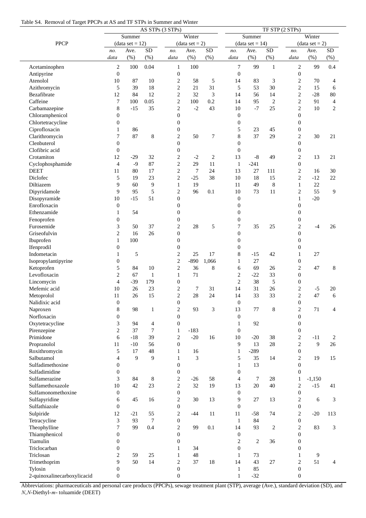|  |  |  |  | Table S4. Removal of Target PPCPs at AS and TF STPs in Summer and Winter |
|--|--|--|--|--------------------------------------------------------------------------|
|--|--|--|--|--------------------------------------------------------------------------|

| AS STPs (3 STPs)            |                   |        |                |                  |                  |                |                  | TF STP (2 STPs)   |                |                  |          |                |  |  |  |  |
|-----------------------------|-------------------|--------|----------------|------------------|------------------|----------------|------------------|-------------------|----------------|------------------|----------|----------------|--|--|--|--|
|                             |                   | Summer |                |                  | Winter           |                |                  | Summer            |                | Winter           |          |                |  |  |  |  |
| <b>PPCP</b>                 | $(data set = 12)$ |        |                |                  | $(data set = 2)$ |                |                  | $(data set = 14)$ |                | $(data set = 2)$ |          |                |  |  |  |  |
|                             | no.               | Ave.   | SD             | no.              | Ave.             | SD             | no.              | Ave.              | SD             | no.              | Ave.     | SD             |  |  |  |  |
|                             | data              | (% )   | (%)            | data             | (% )             | $(\% )$        | data             | (%)               | (% )           | data             | (% )     | $(\% )$        |  |  |  |  |
| Acetaminophen               | 2                 | 100    | 0.04           | $\mathbf{1}$     | 100              |                | 7                | 99                | $\mathbf{1}$   | 2                | 99       | 0.4            |  |  |  |  |
| Antipyrine                  | $\mathbf{0}$      |        |                | $\boldsymbol{0}$ |                  |                | $\boldsymbol{0}$ |                   |                | $\boldsymbol{0}$ |          |                |  |  |  |  |
| Atenolol                    | 10                | 87     | 10             | $\overline{c}$   | 58               | 5              | 14               | 83                | 3              | $\overline{c}$   | 70       | $\overline{4}$ |  |  |  |  |
| Azithromycin                | 5                 | 39     | 18             | $\overline{c}$   | 21               | 31             | 5                | 53                | 30             | $\overline{2}$   | 15       | 6              |  |  |  |  |
| Bezafibrate                 | 12                | 84     | 12             | $\overline{c}$   | 32               | 3              | 14               | 56                | 14             | $\overline{c}$   | $-28$    | 80             |  |  |  |  |
| Caffeine                    | 7                 | 100    | 0.05           | $\mathbf{2}$     | 100              | 0.2            | 14               | 95                | $\mathfrak{2}$ | $\overline{c}$   | 91       | $\overline{4}$ |  |  |  |  |
| Carbamazepine               | 8                 | $-15$  | 35             | $\mathbf{2}$     | $-2$             | 43             | 10               | $-7$              | 25             | $\overline{c}$   | 10       | $\mathbf{2}$   |  |  |  |  |
| Chloramphenicol             | 0                 |        |                | $\theta$         |                  |                | $\theta$         |                   |                | $\overline{0}$   |          |                |  |  |  |  |
| Chlortetracycline           | $\boldsymbol{0}$  |        |                | $\boldsymbol{0}$ |                  |                | $\boldsymbol{0}$ |                   |                | $\boldsymbol{0}$ |          |                |  |  |  |  |
| Ciprofloxacin               | 1                 | 86     |                | $\boldsymbol{0}$ |                  |                | 5                | 23                | 45             | $\boldsymbol{0}$ |          |                |  |  |  |  |
| Clarithromycin              | 7                 | 87     | $\,$ 8 $\,$    | $\overline{c}$   | 50               | 7              | 8                | 37                | 29             | $\overline{c}$   | 30       | 21             |  |  |  |  |
| Clenbuterol                 | $\boldsymbol{0}$  |        |                | $\theta$         |                  |                | $\overline{0}$   |                   |                | $\overline{0}$   |          |                |  |  |  |  |
| Clofibric acid              | $\boldsymbol{0}$  |        |                | $\mathbf{0}$     |                  |                | $\mathbf{0}$     |                   |                | $\boldsymbol{0}$ |          |                |  |  |  |  |
| Crotamiton                  | 12                | $-29$  | 32             | $\overline{c}$   | $-2$             | $\overline{c}$ | 13               | $-8$              | 49             | $\overline{c}$   | 13       | 21             |  |  |  |  |
| Cyclophosphamide            | 4                 | $-9$   | 87             | $\overline{c}$   | 29               | 11             | $\mathbf{1}$     | $-241$            |                | $\overline{0}$   |          |                |  |  |  |  |
| <b>DEET</b>                 | 11                | 80     | 17             | $\mathbf{2}$     | $\tau$           | 24             | 13               | 27                | 111            | $\overline{c}$   | 16       | 30             |  |  |  |  |
| Diclofec                    | 5                 | 19     | 23             | $\sqrt{2}$       | $-25$            | 38             | 10               | 18                | 15             | $\overline{c}$   | $-12$    | 22             |  |  |  |  |
| Diltiazem                   | 9                 | 60     | 9              | $\mathbf{1}$     | 19               |                | 11               | 49                | $\,8$          | 1                | 22       |                |  |  |  |  |
| Dipyridamole                | 9                 | 95     | 5              | $\overline{c}$   | 96               | 0.1            | 10               | 73                | 11             | $\overline{c}$   | 55       | 9              |  |  |  |  |
| Disopyramide                | 10                | $-15$  | 51             | $\theta$         |                  |                | $\mathbf{0}$     |                   |                | $\mathbf{1}$     | $-20$    |                |  |  |  |  |
| Enrofloxacin                | $\boldsymbol{0}$  |        |                | $\mathbf{0}$     |                  |                | $\overline{0}$   |                   |                | $\overline{0}$   |          |                |  |  |  |  |
| Ethenzamide                 | 1                 | 54     |                | $\overline{0}$   |                  |                | $\mathbf{0}$     |                   |                | $\overline{0}$   |          |                |  |  |  |  |
| Fenoprofen                  | $\boldsymbol{0}$  |        |                | $\boldsymbol{0}$ |                  |                | $\boldsymbol{0}$ |                   |                | $\boldsymbol{0}$ |          |                |  |  |  |  |
| Furosemide                  | 3                 | 50     | 37             | $\overline{c}$   | 28               | 5              | 7                | 35                | 25             | $\overline{c}$   | -4       | 26             |  |  |  |  |
| Griseofulvin                | 2                 | 16     | 26             | $\boldsymbol{0}$ |                  |                | $\mathbf{0}$     |                   |                | $\overline{0}$   |          |                |  |  |  |  |
| Ibuprofen                   | $\mathbf{1}$      | 100    |                | $\boldsymbol{0}$ |                  |                | $\mathbf{0}$     |                   |                | $\boldsymbol{0}$ |          |                |  |  |  |  |
| Ifenprodil                  | $\boldsymbol{0}$  |        |                | $\boldsymbol{0}$ |                  |                | $\boldsymbol{0}$ |                   |                | 0                |          |                |  |  |  |  |
| Indometacin                 | $\mathbf{1}$      | 5      |                | $\overline{c}$   | 25               | 17             | 8                | $-15$             | 42             | 1                | 27       |                |  |  |  |  |
| Isopropylantipyrine         | $\boldsymbol{0}$  |        |                | $\mathbf{2}$     | $-890$           | 1,066          | 1                | 27                |                | $\boldsymbol{0}$ |          |                |  |  |  |  |
| Ketoprofen                  | 5                 | 84     | 10             | $\mathbf{2}$     | 36               | 8              | 6                | 69                | 26             | $\overline{c}$   | 47       | 8              |  |  |  |  |
| Levofloxacin                | $\overline{c}$    | 67     | $\mathbf{1}$   | 1                | 71               |                | $\overline{c}$   | $-22$             | 33             | $\boldsymbol{0}$ |          |                |  |  |  |  |
| Lincomycin                  | 4                 | $-39$  | 179            | $\overline{0}$   |                  |                | $\mathbf{2}$     | 38                | 5              | $\theta$         |          |                |  |  |  |  |
| Mefemic acid                | 10                | 26     | 23             | $\overline{c}$   | 7                | 31             | 14               | 31                | 26             | $\overline{c}$   | $-5$     | 20             |  |  |  |  |
| Metoprolol                  | 11                | 26     | 15             | $\overline{2}$   | 28               | 24             | 14               | 33                | 33             | $\overline{2}$   | 47       | 6              |  |  |  |  |
| Nalidixic acid              | $\boldsymbol{0}$  |        |                | $\boldsymbol{0}$ |                  |                | $\boldsymbol{0}$ |                   |                | $\boldsymbol{0}$ |          |                |  |  |  |  |
| Naproxen                    | 8                 | 98     | $\mathbf{1}$   | $\overline{c}$   | 93               | 3              | 13               | 77                | 8              | $\overline{c}$   | 71       | $\overline{4}$ |  |  |  |  |
| Norfloxacin                 | $\boldsymbol{0}$  |        |                | $\boldsymbol{0}$ |                  |                | $\boldsymbol{0}$ |                   |                | $\boldsymbol{0}$ |          |                |  |  |  |  |
| Oxytetracycline             | 3                 | 94     | $\overline{4}$ | $\boldsymbol{0}$ |                  |                | $\mathbf{1}$     | 92                |                | $\boldsymbol{0}$ |          |                |  |  |  |  |
| Pirenzepine                 | $\overline{c}$    | 37     | 7              | $\mathbf{1}$     | $-183$           |                | $\boldsymbol{0}$ |                   |                | $\boldsymbol{0}$ |          |                |  |  |  |  |
| Primidone                   | 6                 | $-18$  | 39             | $\overline{c}$   | $-20$            | 16             | 10               | $-20$             | 38             | 2                | $-11$    | 2              |  |  |  |  |
| Propranolol                 | 11                | $-10$  | 56             | $\overline{0}$   |                  |                | 9                | 13                | 28             | $\mathbf{2}$     | 9        | 26             |  |  |  |  |
| Roxithromycin               | 5                 | 17     | 48             | 1                | 16               |                | $\mathbf{1}$     | $-289$            |                | $\boldsymbol{0}$ |          |                |  |  |  |  |
| Salbutamol                  | $\overline{4}$    | 9      | 9              | $\mathbf{1}$     | 3                |                | 5                | 35                | 14             | $\overline{c}$   | 19       | 15             |  |  |  |  |
| Sulfadimethoxine            | $\boldsymbol{0}$  |        |                | $\boldsymbol{0}$ |                  |                | $\mathbf{1}$     | 13                |                | $\boldsymbol{0}$ |          |                |  |  |  |  |
| Sulfadimidine               | 0                 |        |                | $\boldsymbol{0}$ |                  |                | $\theta$         |                   |                | $\overline{0}$   |          |                |  |  |  |  |
| Sulfamerazine               | 3                 | 84     | 8              | $\overline{c}$   | $-26$            | 58             | 4                | $\tau$            | $28\,$         | $\mathbf{1}$     | $-1,150$ |                |  |  |  |  |
| Sulfamethoxazole            | 10                | 42     | 23             | $\mathbf{2}$     | 32               | 19             | 13               | 20                | 40             | 2                | $-15$    | 41             |  |  |  |  |
| Sulfamonomethoxine          | $\boldsymbol{0}$  |        |                | $\boldsymbol{0}$ |                  |                | $\mathbf{0}$     |                   |                | $\boldsymbol{0}$ |          |                |  |  |  |  |
| Sulfapyridine               | 6                 | 45     | 16             | $\sqrt{2}$       | 30               | 13             | 9                | 27                | 13             | $\overline{c}$   | 6        | 3              |  |  |  |  |
| Sulfathiazole               | 0                 |        |                | $\boldsymbol{0}$ |                  |                | $\boldsymbol{0}$ |                   |                | $\boldsymbol{0}$ |          |                |  |  |  |  |
| Sulpiride                   | 12                | $-21$  | 55             | $\overline{c}$   | $-44$            | 11             | 11               | $-58$             | 74             | $\overline{c}$   | $-20$    | 113            |  |  |  |  |
| Tetracycline                | 3                 | 93     | 7              | $\boldsymbol{0}$ |                  |                | $\mathbf{1}$     | 84                |                | $\boldsymbol{0}$ |          |                |  |  |  |  |
| Theophylline                | 7                 | 99     | 0.4            | $\sqrt{2}$       | 99               | 0.1            | 14               | 93                | $\overline{c}$ | $\overline{c}$   | 83       | $\mathfrak{Z}$ |  |  |  |  |
| Thiamphenicol               | $\boldsymbol{0}$  |        |                | $\theta$         |                  |                | $\boldsymbol{0}$ |                   |                | $\overline{0}$   |          |                |  |  |  |  |
| Tiamulin                    | $\boldsymbol{0}$  |        |                | $\boldsymbol{0}$ |                  |                | $\overline{c}$   | $\overline{c}$    | 36             | $\boldsymbol{0}$ |          |                |  |  |  |  |
| Triclocarban                | $\boldsymbol{0}$  |        |                | 1                | 34               |                | $\mathbf{0}$     |                   |                | $\overline{0}$   |          |                |  |  |  |  |
| Triclosan                   | 2                 | 59     | 25             | 1                | 48               |                | 1                | 73                |                | 1                | 9        |                |  |  |  |  |
| Trimethoprim                | 9                 | 50     | 14             | $\overline{c}$   | 37               | 18             | 14               | 43                | 27             | 2                | 51       | $\overline{4}$ |  |  |  |  |
| Tylosin                     | $\boldsymbol{0}$  |        |                | $\boldsymbol{0}$ |                  |                | $\mathbf{1}$     | 85                |                | $\boldsymbol{0}$ |          |                |  |  |  |  |
| 2-quinoxalinecarboxylicacid | $\boldsymbol{0}$  |        |                | $\overline{0}$   |                  |                | $\mathbf{1}$     | $-32$             |                | $\boldsymbol{0}$ |          |                |  |  |  |  |

Abbreviations: pharmaceuticals and personal care products (PPCPs), sewage treatment plant (STP), average (Ave.), standard deviation (SD), and *N*,*N*-Diethyl-*m*- toluamide (DEET)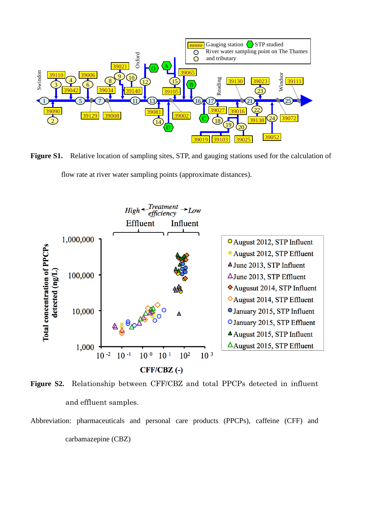

**Figure S1.** Relative location of sampling sites, STP, and gauging stations used for the calculation of flow rate at river water sampling points (approximate distances).



**Figure S2.** Relationship between CFF/CBZ and total PPCPs detected in influent and effluent samples.

Abbreviation: pharmaceuticals and personal care products (PPCPs), caffeine (CFF) and carbamazepine (CBZ)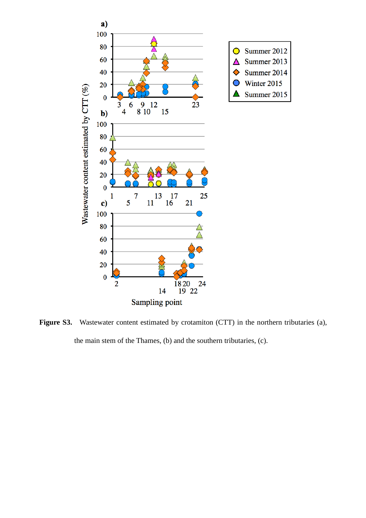

Figure S3. Wastewater content estimated by crotamiton (CTT) in the northern tributaries (a), the main stem of the Thames, (b) and the southern tributaries, (c).